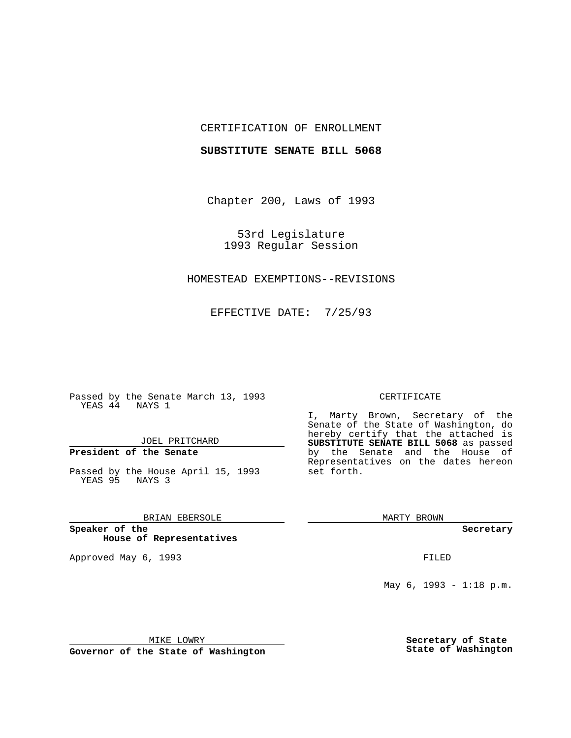### CERTIFICATION OF ENROLLMENT

#### **SUBSTITUTE SENATE BILL 5068**

Chapter 200, Laws of 1993

53rd Legislature 1993 Regular Session

#### HOMESTEAD EXEMPTIONS--REVISIONS

EFFECTIVE DATE: 7/25/93

Passed by the Senate March 13, 1993 YEAS 44 NAYS 1

JOEL PRITCHARD

# **President of the Senate**

Passed by the House April 15, 1993 YEAS 95 NAYS 3

## BRIAN EBERSOLE

**Speaker of the House of Representatives**

Approved May 6, 1993 **FILED** 

#### CERTIFICATE

I, Marty Brown, Secretary of the Senate of the State of Washington, do hereby certify that the attached is **SUBSTITUTE SENATE BILL 5068** as passed by the Senate and the House of Representatives on the dates hereon set forth.

MARTY BROWN

**Secretary**

May 6, 1993 - 1:18 p.m.

MIKE LOWRY

**Governor of the State of Washington**

**Secretary of State State of Washington**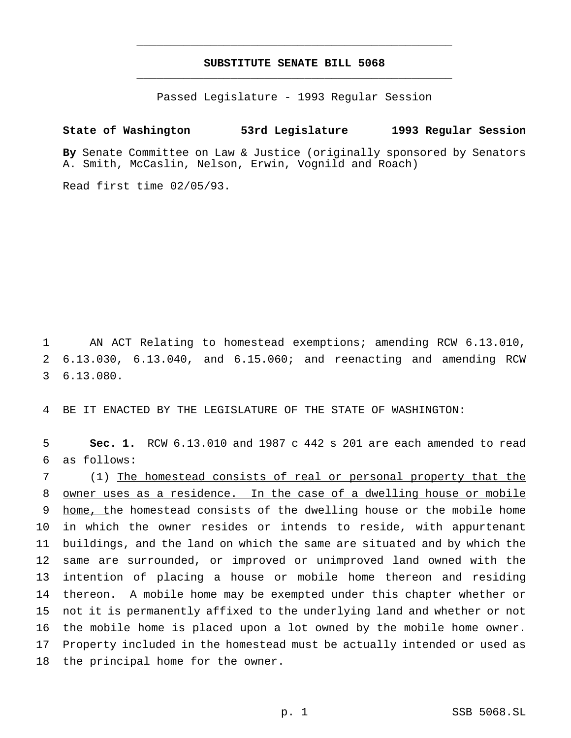# **SUBSTITUTE SENATE BILL 5068** \_\_\_\_\_\_\_\_\_\_\_\_\_\_\_\_\_\_\_\_\_\_\_\_\_\_\_\_\_\_\_\_\_\_\_\_\_\_\_\_\_\_\_\_\_\_\_

\_\_\_\_\_\_\_\_\_\_\_\_\_\_\_\_\_\_\_\_\_\_\_\_\_\_\_\_\_\_\_\_\_\_\_\_\_\_\_\_\_\_\_\_\_\_\_

Passed Legislature - 1993 Regular Session

# **State of Washington 53rd Legislature 1993 Regular Session**

**By** Senate Committee on Law & Justice (originally sponsored by Senators A. Smith, McCaslin, Nelson, Erwin, Vognild and Roach)

Read first time 02/05/93.

 AN ACT Relating to homestead exemptions; amending RCW 6.13.010, 6.13.030, 6.13.040, and 6.15.060; and reenacting and amending RCW 6.13.080.

BE IT ENACTED BY THE LEGISLATURE OF THE STATE OF WASHINGTON:

 **Sec. 1.** RCW 6.13.010 and 1987 c 442 s 201 are each amended to read as follows:

 (1) The homestead consists of real or personal property that the owner uses as a residence. In the case of a dwelling house or mobile 9 home, the homestead consists of the dwelling house or the mobile home in which the owner resides or intends to reside, with appurtenant buildings, and the land on which the same are situated and by which the same are surrounded, or improved or unimproved land owned with the intention of placing a house or mobile home thereon and residing thereon. A mobile home may be exempted under this chapter whether or not it is permanently affixed to the underlying land and whether or not the mobile home is placed upon a lot owned by the mobile home owner. Property included in the homestead must be actually intended or used as the principal home for the owner.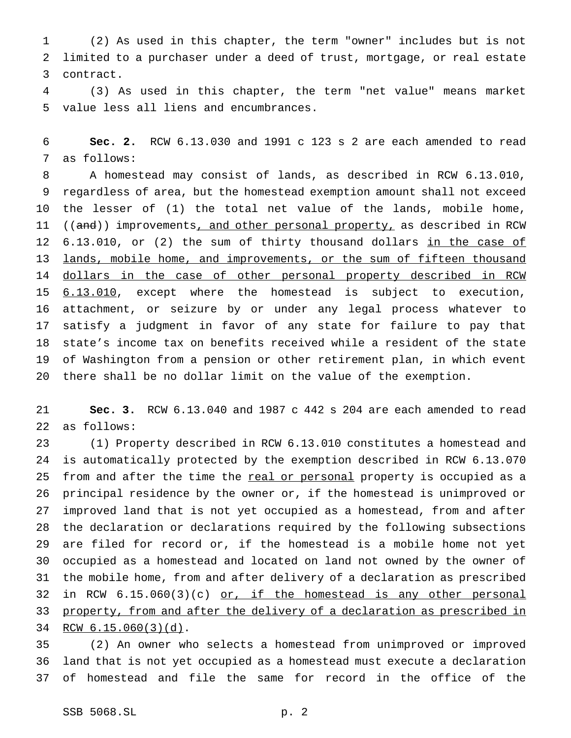(2) As used in this chapter, the term "owner" includes but is not limited to a purchaser under a deed of trust, mortgage, or real estate contract.

 (3) As used in this chapter, the term "net value" means market value less all liens and encumbrances.

 **Sec. 2.** RCW 6.13.030 and 1991 c 123 s 2 are each amended to read as follows:

 A homestead may consist of lands, as described in RCW 6.13.010, regardless of area, but the homestead exemption amount shall not exceed the lesser of (1) the total net value of the lands, mobile home, 11 ((and)) improvements, and other personal property, as described in RCW 12 6.13.010, or (2) the sum of thirty thousand dollars in the case of 13 lands, mobile home, and improvements, or the sum of fifteen thousand 14 dollars in the case of other personal property described in RCW 6.13.010, except where the homestead is subject to execution, attachment, or seizure by or under any legal process whatever to satisfy a judgment in favor of any state for failure to pay that state's income tax on benefits received while a resident of the state of Washington from a pension or other retirement plan, in which event there shall be no dollar limit on the value of the exemption.

 **Sec. 3.** RCW 6.13.040 and 1987 c 442 s 204 are each amended to read as follows:

 (1) Property described in RCW 6.13.010 constitutes a homestead and is automatically protected by the exemption described in RCW 6.13.070 25 from and after the time the real or personal property is occupied as a principal residence by the owner or, if the homestead is unimproved or improved land that is not yet occupied as a homestead, from and after the declaration or declarations required by the following subsections are filed for record or, if the homestead is a mobile home not yet occupied as a homestead and located on land not owned by the owner of the mobile home, from and after delivery of a declaration as prescribed 32 in RCW 6.15.060(3)(c) or, if the homestead is any other personal 33 property, from and after the delivery of a declaration as prescribed in RCW 6.15.060(3)(d).

 (2) An owner who selects a homestead from unimproved or improved land that is not yet occupied as a homestead must execute a declaration of homestead and file the same for record in the office of the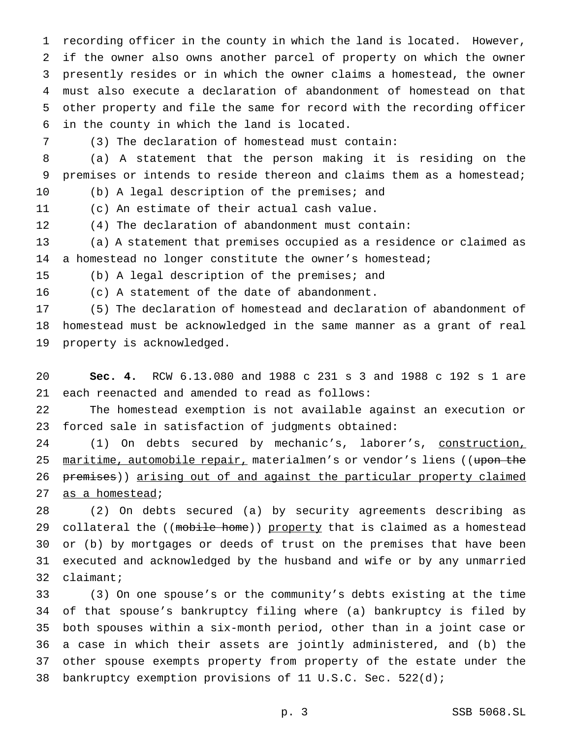recording officer in the county in which the land is located. However, if the owner also owns another parcel of property on which the owner presently resides or in which the owner claims a homestead, the owner must also execute a declaration of abandonment of homestead on that other property and file the same for record with the recording officer in the county in which the land is located.

(3) The declaration of homestead must contain:

 (a) A statement that the person making it is residing on the premises or intends to reside thereon and claims them as a homestead;

(b) A legal description of the premises; and

(c) An estimate of their actual cash value.

(4) The declaration of abandonment must contain:

 (a) A statement that premises occupied as a residence or claimed as a homestead no longer constitute the owner's homestead;

(b) A legal description of the premises; and

(c) A statement of the date of abandonment.

 (5) The declaration of homestead and declaration of abandonment of homestead must be acknowledged in the same manner as a grant of real property is acknowledged.

 **Sec. 4.** RCW 6.13.080 and 1988 c 231 s 3 and 1988 c 192 s 1 are each reenacted and amended to read as follows:

 The homestead exemption is not available against an execution or forced sale in satisfaction of judgments obtained:

24 (1) On debts secured by mechanic's, laborer's, construction, 25 maritime, automobile repair, materialmen's or vendor's liens ((upon the premises)) arising out of and against the particular property claimed 27 as a homestead;

 (2) On debts secured (a) by security agreements describing as 29 collateral the ((mobile home)) property that is claimed as a homestead or (b) by mortgages or deeds of trust on the premises that have been executed and acknowledged by the husband and wife or by any unmarried claimant;

 (3) On one spouse's or the community's debts existing at the time of that spouse's bankruptcy filing where (a) bankruptcy is filed by both spouses within a six-month period, other than in a joint case or a case in which their assets are jointly administered, and (b) the other spouse exempts property from property of the estate under the bankruptcy exemption provisions of 11 U.S.C. Sec. 522(d);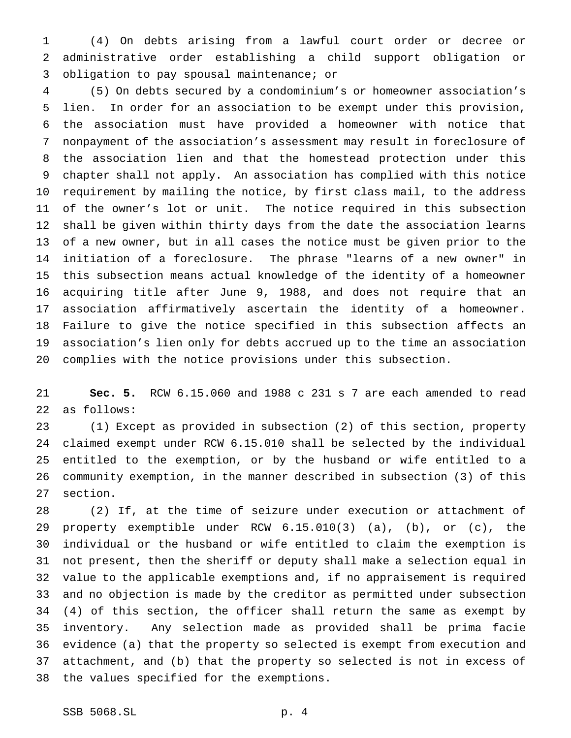(4) On debts arising from a lawful court order or decree or administrative order establishing a child support obligation or obligation to pay spousal maintenance; or

 (5) On debts secured by a condominium's or homeowner association's lien. In order for an association to be exempt under this provision, the association must have provided a homeowner with notice that nonpayment of the association's assessment may result in foreclosure of the association lien and that the homestead protection under this chapter shall not apply. An association has complied with this notice requirement by mailing the notice, by first class mail, to the address of the owner's lot or unit. The notice required in this subsection shall be given within thirty days from the date the association learns of a new owner, but in all cases the notice must be given prior to the initiation of a foreclosure. The phrase "learns of a new owner" in this subsection means actual knowledge of the identity of a homeowner acquiring title after June 9, 1988, and does not require that an association affirmatively ascertain the identity of a homeowner. Failure to give the notice specified in this subsection affects an association's lien only for debts accrued up to the time an association complies with the notice provisions under this subsection.

 **Sec. 5.** RCW 6.15.060 and 1988 c 231 s 7 are each amended to read as follows:

 (1) Except as provided in subsection (2) of this section, property claimed exempt under RCW 6.15.010 shall be selected by the individual entitled to the exemption, or by the husband or wife entitled to a community exemption, in the manner described in subsection (3) of this section.

 (2) If, at the time of seizure under execution or attachment of property exemptible under RCW 6.15.010(3) (a), (b), or (c), the individual or the husband or wife entitled to claim the exemption is not present, then the sheriff or deputy shall make a selection equal in value to the applicable exemptions and, if no appraisement is required and no objection is made by the creditor as permitted under subsection (4) of this section, the officer shall return the same as exempt by inventory. Any selection made as provided shall be prima facie evidence (a) that the property so selected is exempt from execution and attachment, and (b) that the property so selected is not in excess of the values specified for the exemptions.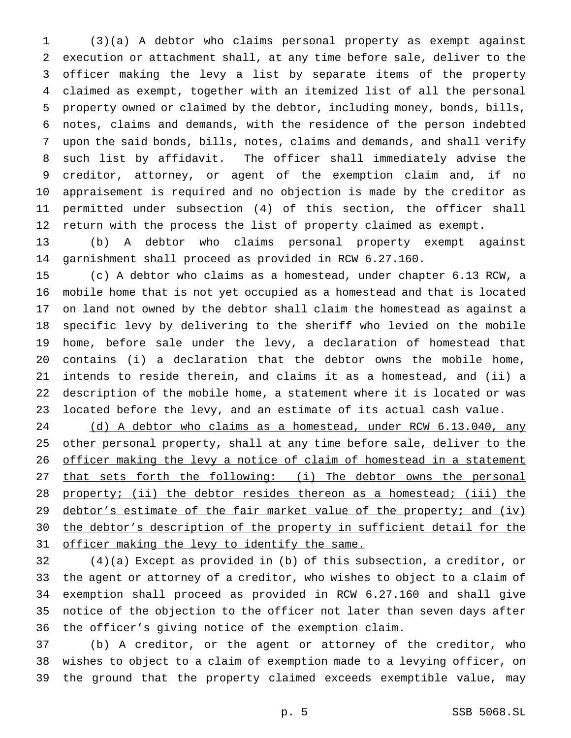(3)(a) A debtor who claims personal property as exempt against execution or attachment shall, at any time before sale, deliver to the officer making the levy a list by separate items of the property claimed as exempt, together with an itemized list of all the personal property owned or claimed by the debtor, including money, bonds, bills, notes, claims and demands, with the residence of the person indebted upon the said bonds, bills, notes, claims and demands, and shall verify such list by affidavit. The officer shall immediately advise the creditor, attorney, or agent of the exemption claim and, if no appraisement is required and no objection is made by the creditor as permitted under subsection (4) of this section, the officer shall return with the process the list of property claimed as exempt.

 (b) A debtor who claims personal property exempt against garnishment shall proceed as provided in RCW 6.27.160.

 (c) A debtor who claims as a homestead, under chapter 6.13 RCW, a mobile home that is not yet occupied as a homestead and that is located on land not owned by the debtor shall claim the homestead as against a specific levy by delivering to the sheriff who levied on the mobile home, before sale under the levy, a declaration of homestead that contains (i) a declaration that the debtor owns the mobile home, intends to reside therein, and claims it as a homestead, and (ii) a description of the mobile home, a statement where it is located or was located before the levy, and an estimate of its actual cash value.

 (d) A debtor who claims as a homestead, under RCW 6.13.040, any 25 other personal property, shall at any time before sale, deliver to the 26 officer making the levy a notice of claim of homestead in a statement 27 that sets forth the following: (i) The debtor owns the personal 28 property; (ii) the debtor resides thereon as a homestead; (iii) the 29 debtor's estimate of the fair market value of the property; and (iv) the debtor's description of the property in sufficient detail for the 31 officer making the levy to identify the same.

 (4)(a) Except as provided in (b) of this subsection, a creditor, or the agent or attorney of a creditor, who wishes to object to a claim of exemption shall proceed as provided in RCW 6.27.160 and shall give notice of the objection to the officer not later than seven days after the officer's giving notice of the exemption claim.

 (b) A creditor, or the agent or attorney of the creditor, who wishes to object to a claim of exemption made to a levying officer, on the ground that the property claimed exceeds exemptible value, may